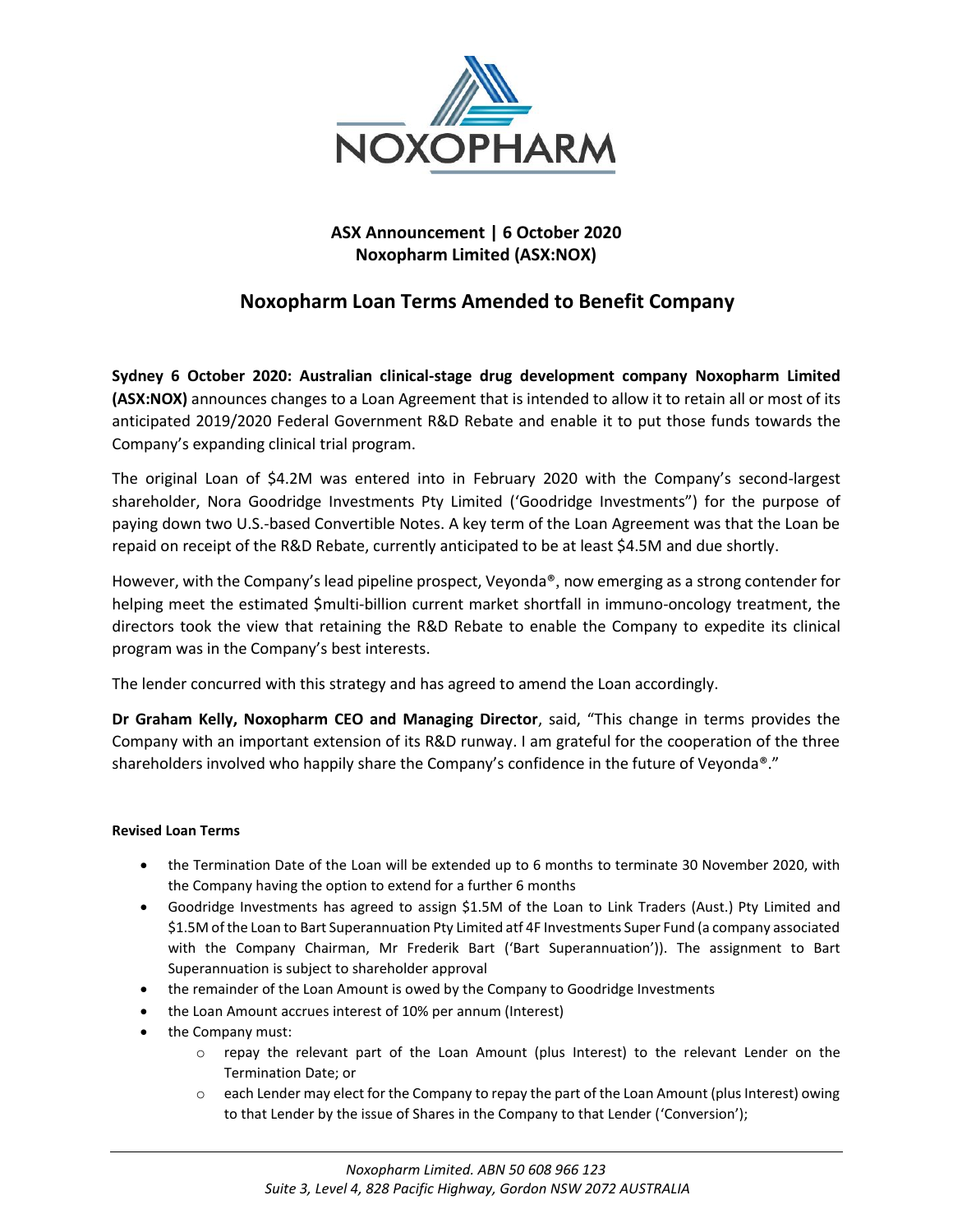

## **ASX Announcement | 6 October 2020 Noxopharm Limited (ASX:NOX)**

# **Noxopharm Loan Terms Amended to Benefit Company**

**Sydney 6 October 2020: Australian clinical-stage drug development company Noxopharm Limited (ASX:NOX)** announces changes to a Loan Agreement that is intended to allow it to retain all or most of its anticipated 2019/2020 Federal Government R&D Rebate and enable it to put those funds towards the Company's expanding clinical trial program.

The original Loan of \$4.2M was entered into in February 2020 with the Company's second-largest shareholder, Nora Goodridge Investments Pty Limited ('Goodridge Investments") for the purpose of paying down two U.S.-based Convertible Notes. A key term of the Loan Agreement was that the Loan be repaid on receipt of the R&D Rebate, currently anticipated to be at least \$4.5M and due shortly.

However, with the Company's lead pipeline prospect, Veyonda®, now emerging as a strong contender for helping meet the estimated \$multi-billion current market shortfall in immuno-oncology treatment, the directors took the view that retaining the R&D Rebate to enable the Company to expedite its clinical program was in the Company's best interests.

The lender concurred with this strategy and has agreed to amend the Loan accordingly.

**Dr Graham Kelly, Noxopharm CEO and Managing Director**, said, "This change in terms provides the Company with an important extension of its R&D runway. I am grateful for the cooperation of the three shareholders involved who happily share the Company's confidence in the future of Veyonda®."

## **Revised Loan Terms**

- the Termination Date of the Loan will be extended up to 6 months to terminate 30 November 2020, with the Company having the option to extend for a further 6 months
- Goodridge Investments has agreed to assign \$1.5M of the Loan to Link Traders (Aust.) Pty Limited and \$1.5M of the Loan to Bart Superannuation Pty Limited atf 4F Investments Super Fund (a company associated with the Company Chairman, Mr Frederik Bart ('Bart Superannuation')). The assignment to Bart Superannuation is subject to shareholder approval
- the remainder of the Loan Amount is owed by the Company to Goodridge Investments
- the Loan Amount accrues interest of 10% per annum (Interest)
- the Company must:
	- o repay the relevant part of the Loan Amount (plus Interest) to the relevant Lender on the Termination Date; or
	- o each Lender may elect for the Company to repay the part of the Loan Amount (plus Interest) owing to that Lender by the issue of Shares in the Company to that Lender ('Conversion');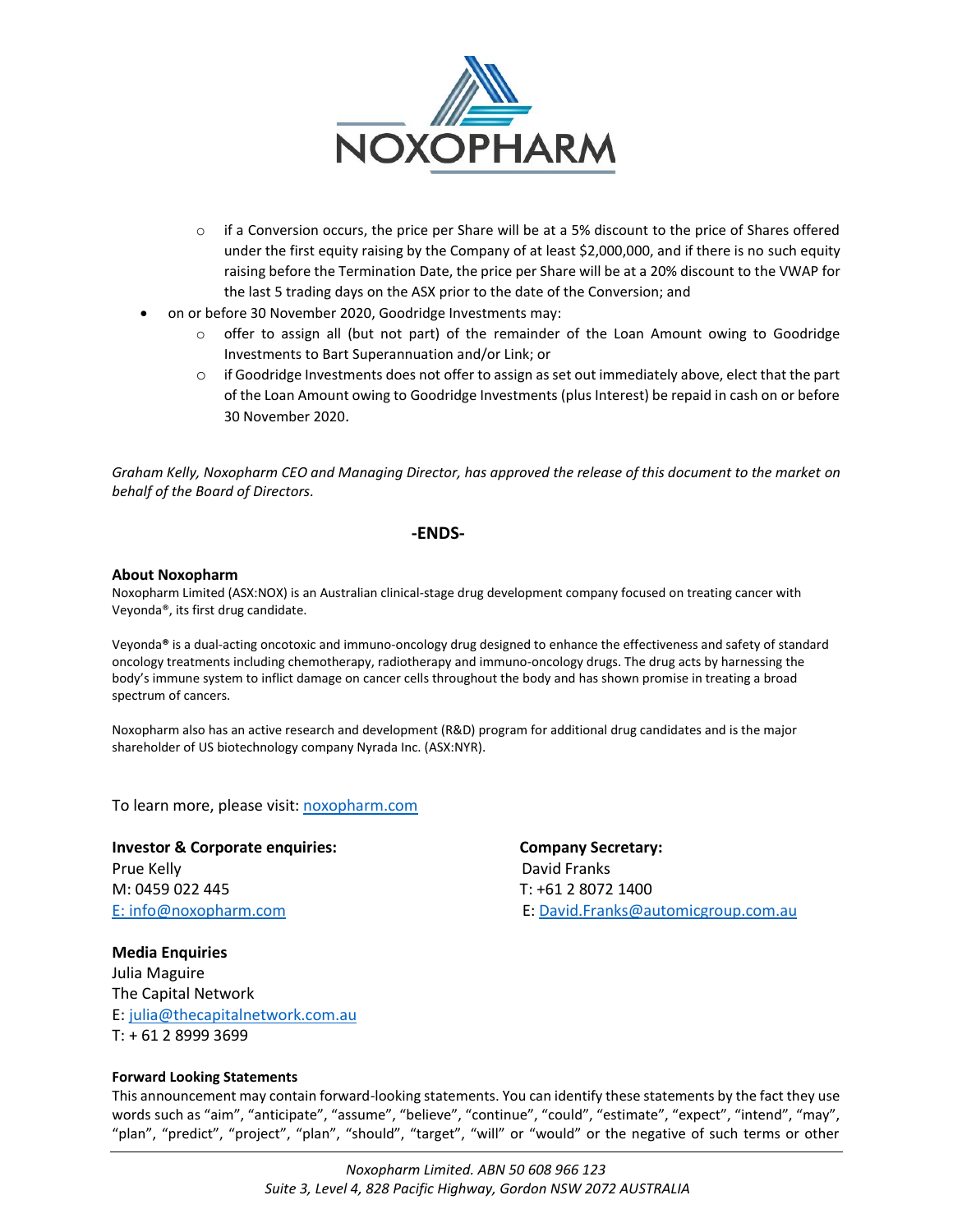

- o if a Conversion occurs, the price per Share will be at a 5% discount to the price of Shares offered under the first equity raising by the Company of at least \$2,000,000, and if there is no such equity raising before the Termination Date, the price per Share will be at a 20% discount to the VWAP for the last 5 trading days on the ASX prior to the date of the Conversion; and
- on or before 30 November 2020, Goodridge Investments may:
	- o offer to assign all (but not part) of the remainder of the Loan Amount owing to Goodridge Investments to Bart Superannuation and/or Link; or
	- $\circ$  if Goodridge Investments does not offer to assign as set out immediately above, elect that the part of the Loan Amount owing to Goodridge Investments (plus Interest) be repaid in cash on or before 30 November 2020.

*Graham Kelly, Noxopharm CEO and Managing Director, has approved the release of this document to the market on behalf of the Board of Directors.*

#### **-ENDS-**

#### **About Noxopharm**

Noxopharm Limited (ASX:NOX) is an Australian clinical-stage drug development company focused on treating cancer with Veyonda®, its first drug candidate.

Veyonda**®** is a dual-acting oncotoxic and immuno-oncology drug designed to enhance the effectiveness and safety of standard oncology treatments including chemotherapy, radiotherapy and immuno-oncology drugs. The drug acts by harnessing the body's immune system to inflict damage on cancer cells throughout the body and has shown promise in treating a broad spectrum of cancers.

Noxopharm also has an active research and development (R&D) program for additional drug candidates and is the major shareholder of US biotechnology company Nyrada Inc. (ASX:NYR).

To learn more, please visit: [noxopharm.com](https://www.noxopharm.com/site/content/)

**Investor & Corporate enquiries:** Company Secretary: Prue Kelly **David Franks** M: 0459 022 445 T: +61 2 8072 1400

E: [info@noxopharm.com](mailto:info@noxopharm.com) E: [David.Franks@automicgroup.com.au](mailto:David.Franks@automicgroup.com.au)

## **Media Enquiries**  Julia Maguire The Capital Network E: [julia@thecapitalnetwork.com.au](mailto:julia@thecapitalnetwork.com.au) T: + 61 2 8999 3699

#### **Forward Looking Statements**

This announcement may contain forward-looking statements. You can identify these statements by the fact they use words such as "aim", "anticipate", "assume", "believe", "continue", "could", "estimate", "expect", "intend", "may", "plan", "predict", "project", "plan", "should", "target", "will" or "would" or the negative of such terms or other